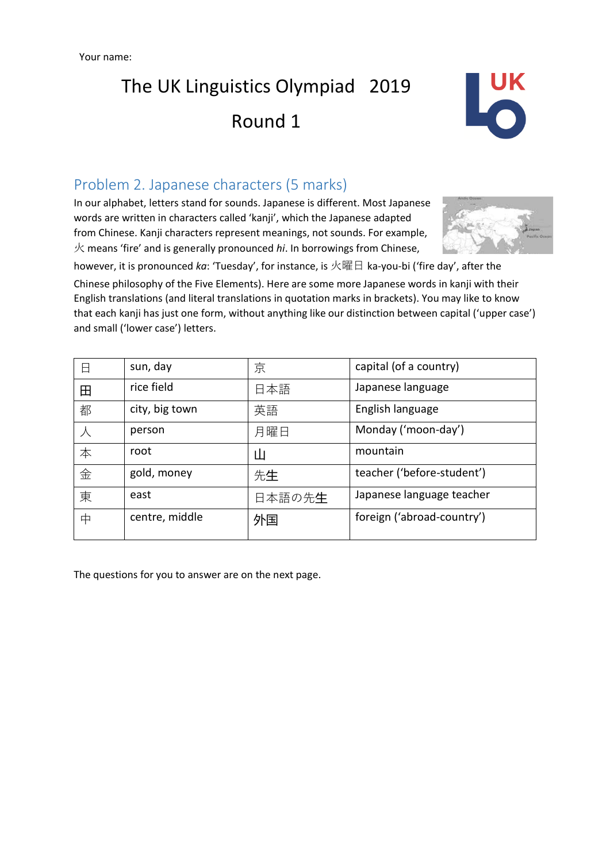Your name:

The UK Linguistics Olympiad 2019 Round 1



### Problem 2. Japanese characters (5 marks)

In our alphabet, letters stand for sounds. Japanese is different. Most Japanese words are written in characters called 'kanji', which the Japanese adapted from Chinese. Kanji characters represent meanings, not sounds. For example, 火 means 'fire' and is generally pronounced *hi*. In borrowings from Chinese,



however, it is pronounced *ka*: 'Tuesday', for instance, is 火曜日 ka-you-bi ('fire day', after the Chinese philosophy of the Five Elements). Here are some more Japanese words in kanji with their English translations (and literal translations in quotation marks in brackets). You may like to know that each kanji has just one form, without anything like our distinction between capital ('upper case') and small ('lower case') letters.

| 日 | sun, day       | 京      | capital (of a country)     |
|---|----------------|--------|----------------------------|
| 田 | rice field     | 日本語    | Japanese language          |
| 都 | city, big town | 英語     | English language           |
|   | person         | 月曜日    | Monday ('moon-day')        |
| 本 | root           | Ш      | mountain                   |
| 金 | gold, money    | 先生     | teacher ('before-student') |
| 東 | east           | 日本語の先生 | Japanese language teacher  |
| 中 | centre, middle | 外国     | foreign ('abroad-country') |

The questions for you to answer are on the next page.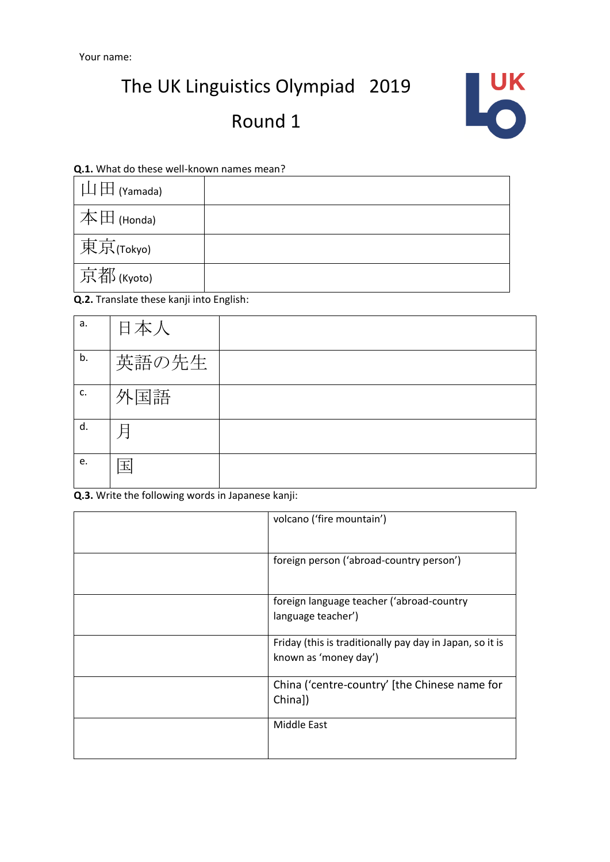The UK Linguistics Olympiad 2019

## Round 1



#### **Q.1.** What do these well-known names mean?

| $\mathop{\hbox{$\bot$}}\nolimits\mathop{\hbox{$\bot$}}\nolimits$ (Yamada) |  |
|---------------------------------------------------------------------------|--|
| $\mathbb{R} \# \boxplus$ (Honda)                                          |  |
| 東京(Tokyo)                                                                 |  |
| 京都(Kyoto)                                                                 |  |

**Q.2.** Translate these kanji into English:

| a. | 日本人   |  |
|----|-------|--|
| b. | 英語の先生 |  |
| c. | 外国語   |  |
| d. | 月     |  |
| e. | Ħ     |  |

**Q.3.** Write the following words in Japanese kanji:

| volcano ('fire mountain')                                                         |
|-----------------------------------------------------------------------------------|
| foreign person ('abroad-country person')                                          |
| foreign language teacher ('abroad-country<br>language teacher')                   |
| Friday (this is traditionally pay day in Japan, so it is<br>known as 'money day') |
| China ('centre-country' [the Chinese name for<br>China])                          |
| Middle East                                                                       |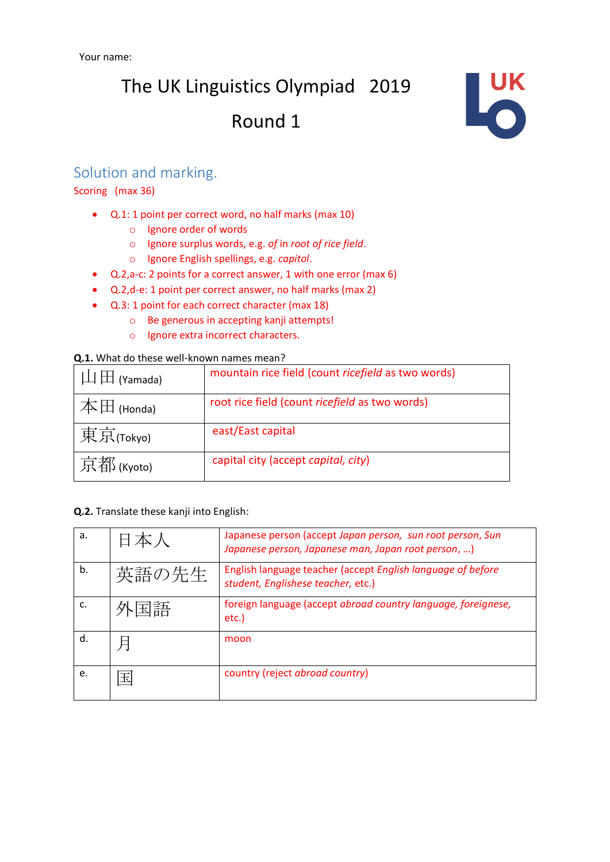# The UK Linguistics Olympiad 2019 Round 1



### Solution and marking.

Scoring (max 36)

- Q.1: 1 point per correct word, no half marks (max 10)
	- o Ignore order of words
	- o Ignore surplus words, e.g. *of* in *root of rice field*.
	- o Ignore English spellings, e.g. *capitol*.
- Q.2,a-c: 2 points for a correct answer, 1 with one error (max 6)
- Q.2,d-e: 1 point per correct answer, no half marks (max 2)
- Q.3: 1 point for each correct character (max 18)
	- o Be generous in accepting kanji attempts!
	- o Ignore extra incorrect characters.

#### **Q.1.** What do these well-known names mean?

| $\Box$ (Yamada) | mountain rice field (count ricefield as two words) |
|-----------------|----------------------------------------------------|
| 本田 (Honda)      | root rice field (count ricefield as two words)     |
| 東京(Tokyo)       | east/East capital                                  |
| 京都(Kyoto)       | capital city (accept capital, city)                |

#### **Q.2.** Translate these kanji into English:

| a. |       | Japanese person (accept Japan person, sun root person, Sun<br>Japanese person, Japanese man, Japan root person, ) |
|----|-------|-------------------------------------------------------------------------------------------------------------------|
| b. | 英語の先生 | English language teacher (accept English language of before<br>student, Englishese teacher, etc.)                 |
|    | ト国語   | foreign language (accept abroad country language, foreignese,<br>etc.)                                            |
| d. |       | moon                                                                                                              |
| e. | 玉     | country (reject abroad country)                                                                                   |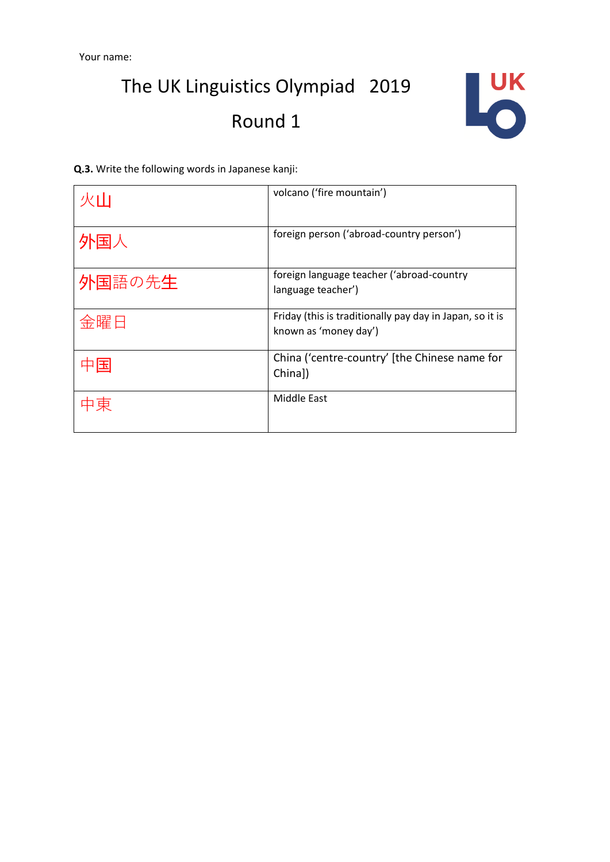# The UK Linguistics Olympiad 2019 Round 1



**Q.3.** Write the following words in Japanese kanji:

| 火山     | volcano ('fire mountain')                                                         |
|--------|-----------------------------------------------------------------------------------|
| 外国人    | foreign person ('abroad-country person')                                          |
| 外国語の先生 | foreign language teacher ('abroad-country<br>language teacher')                   |
| 金曜日    | Friday (this is traditionally pay day in Japan, so it is<br>known as 'money day') |
| 压      | China ('centre-country' [the Chinese name for<br>China])                          |
| 東      | Middle East                                                                       |